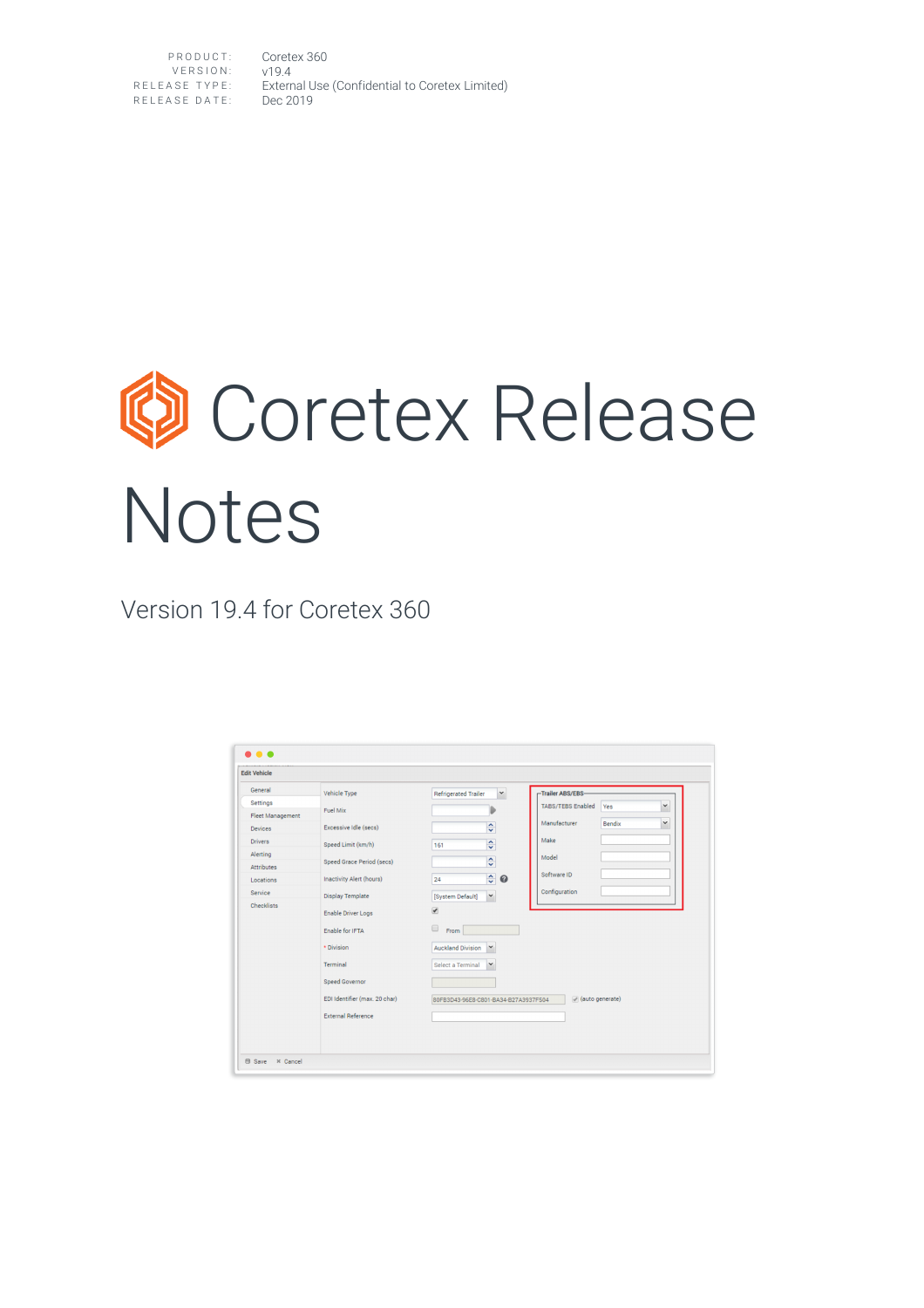PRODUCT: Coretex 360 VERSION: v19.4 RELEASE TYPE: External Use (Confidential to Coretex Limited) RELEASE DATE: Dec 2019

# **Coretex Release** Notes

Version 19.4 for Coretex 360

| <b>Edit Vehicle</b>     |                                 |                                                |                                                 |  |
|-------------------------|---------------------------------|------------------------------------------------|-------------------------------------------------|--|
| General                 | Vehicle Type                    | $\check{~}$<br><b>Refrigerated Trailer</b>     | Trailer ABS/EBS-                                |  |
| <b>Settings</b>         | Fuel Mix                        |                                                | $\checkmark$<br><b>TABS/TEBS Enabled</b><br>Yes |  |
| <b>Fleet Management</b> |                                 |                                                | $\checkmark$<br>Manufacturer<br><b>Bendix</b>   |  |
| <b>Devices</b>          | Excessive Idle (secs)           | $\hat{\phantom{a}}$<br>$\overline{\mathsf{v}}$ |                                                 |  |
| <b>Drivers</b>          | Speed Limit (km/h)              | $\hat{\cdot}$<br>161                           | Make                                            |  |
| Alerting                |                                 | $\overline{\phantom{a}}$                       | Model                                           |  |
| <b>Attributes</b>       | Speed Grace Period (secs)       | v                                              | Software ID                                     |  |
| Locations               | <b>Inactivity Alert (hours)</b> | $\hat{\cdot}$<br>0<br>24                       |                                                 |  |
| Service                 | <b>Display Template</b>         | $\check{~}$<br>[System Default]                | Configuration                                   |  |
| Checklists              | <b>Enable Driver Logs</b>       | $\overline{\mathcal{L}}$                       |                                                 |  |
|                         | Enable for IFTA                 | $\Box$<br>From                                 |                                                 |  |
|                         | * Division                      | <b>Auckland Division</b><br>$\checkmark$       |                                                 |  |
|                         | <b>Terminal</b>                 | $\checkmark$<br>Select a Terminal              |                                                 |  |
|                         | <b>Speed Governor</b>           |                                                |                                                 |  |
|                         | EDI Identifier (max. 20 char)   | 80FB3D43-96E8-C801-BA34-B27A3937F504           | (auto generate)                                 |  |
|                         | <b>External Reference</b>       |                                                |                                                 |  |
|                         |                                 |                                                |                                                 |  |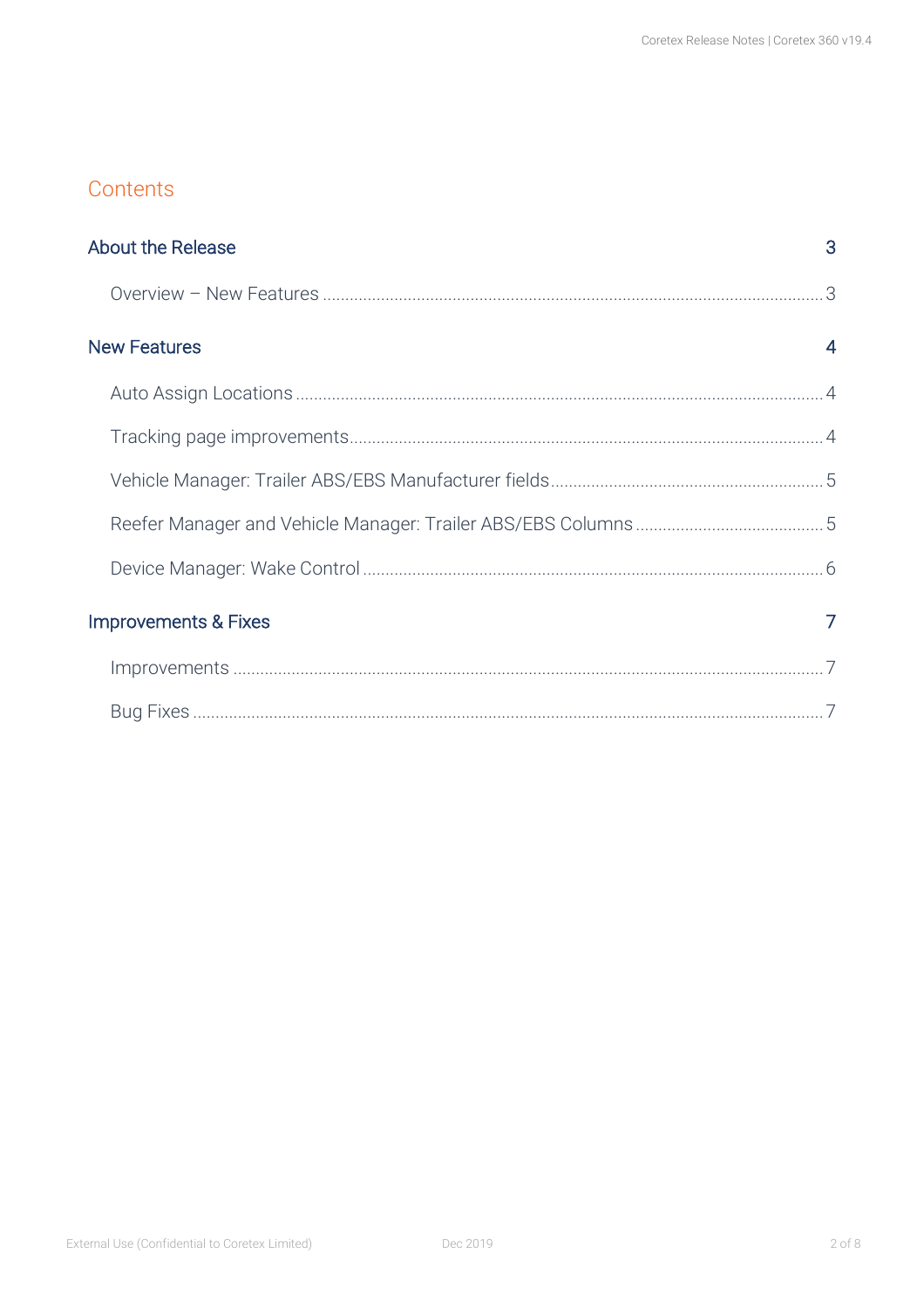#### Contents

| <b>About the Release</b>        | 3              |
|---------------------------------|----------------|
|                                 |                |
| <b>New Features</b>             | $\overline{4}$ |
|                                 |                |
|                                 |                |
|                                 |                |
|                                 |                |
|                                 |                |
| <b>Improvements &amp; Fixes</b> | 7              |
|                                 |                |
|                                 |                |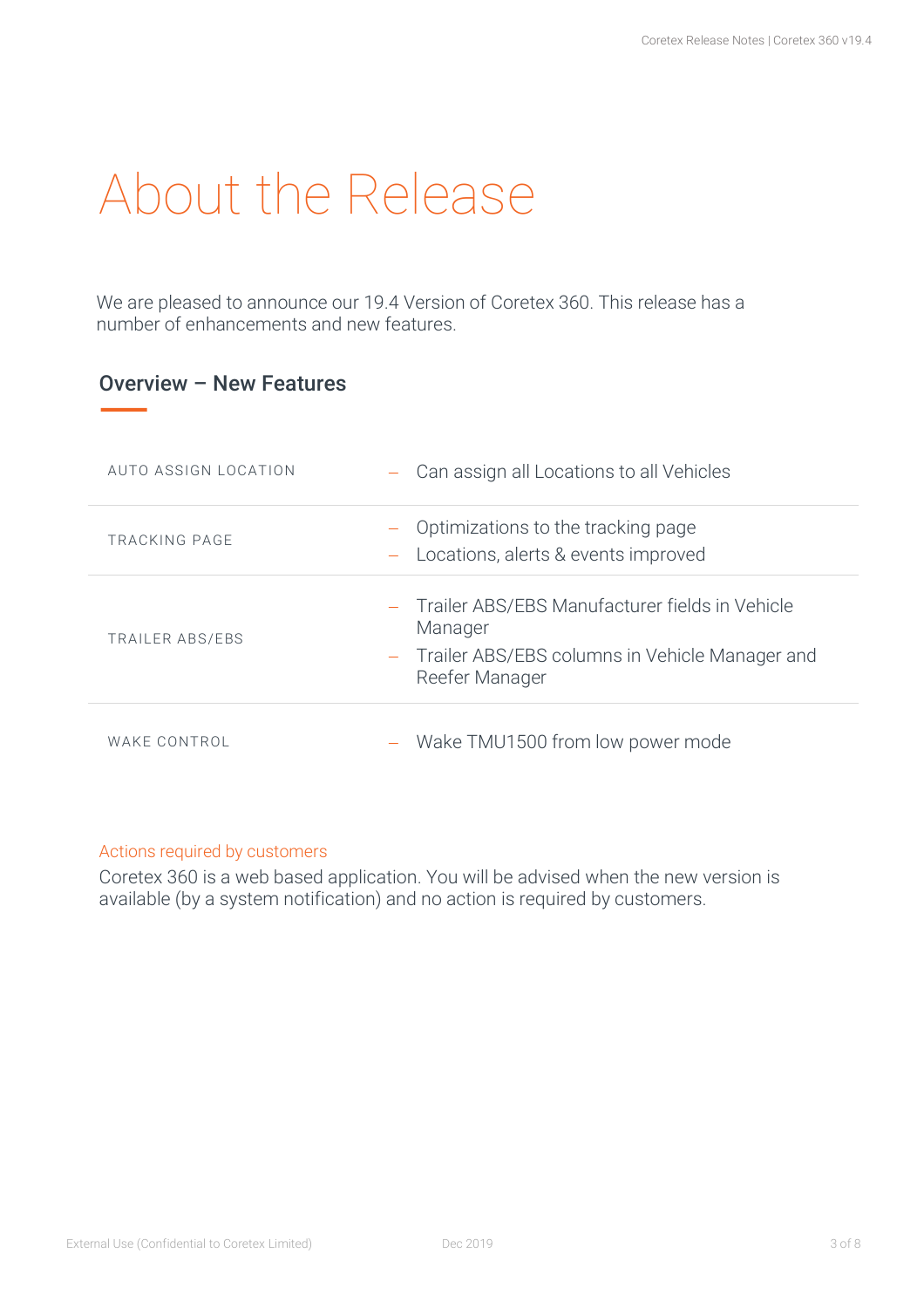# About the Release

We are pleased to announce our 19.4 Version of Coretex 360. This release has a number of enhancements and new features.

#### Overview – New Features

| AUTO ASSIGN LOCATION | - Can assign all Locations to all Vehicles                                                                                        |
|----------------------|-----------------------------------------------------------------------------------------------------------------------------------|
| TRACKING PAGE        | Optimizations to the tracking page<br>Locations, alerts & events improved                                                         |
| TRAILER ABS/EBS      | - Trailer ABS/EBS Manufacturer fields in Vehicle<br>Manager<br>- Trailer ABS/EBS columns in Vehicle Manager and<br>Reefer Manager |
| WAKE CONTROL         | Wake TMU1500 from low power mode                                                                                                  |

#### Actions required by customers

Coretex 360 is a web based application. You will be advised when the new version is available (by a system notification) and no action is required by customers.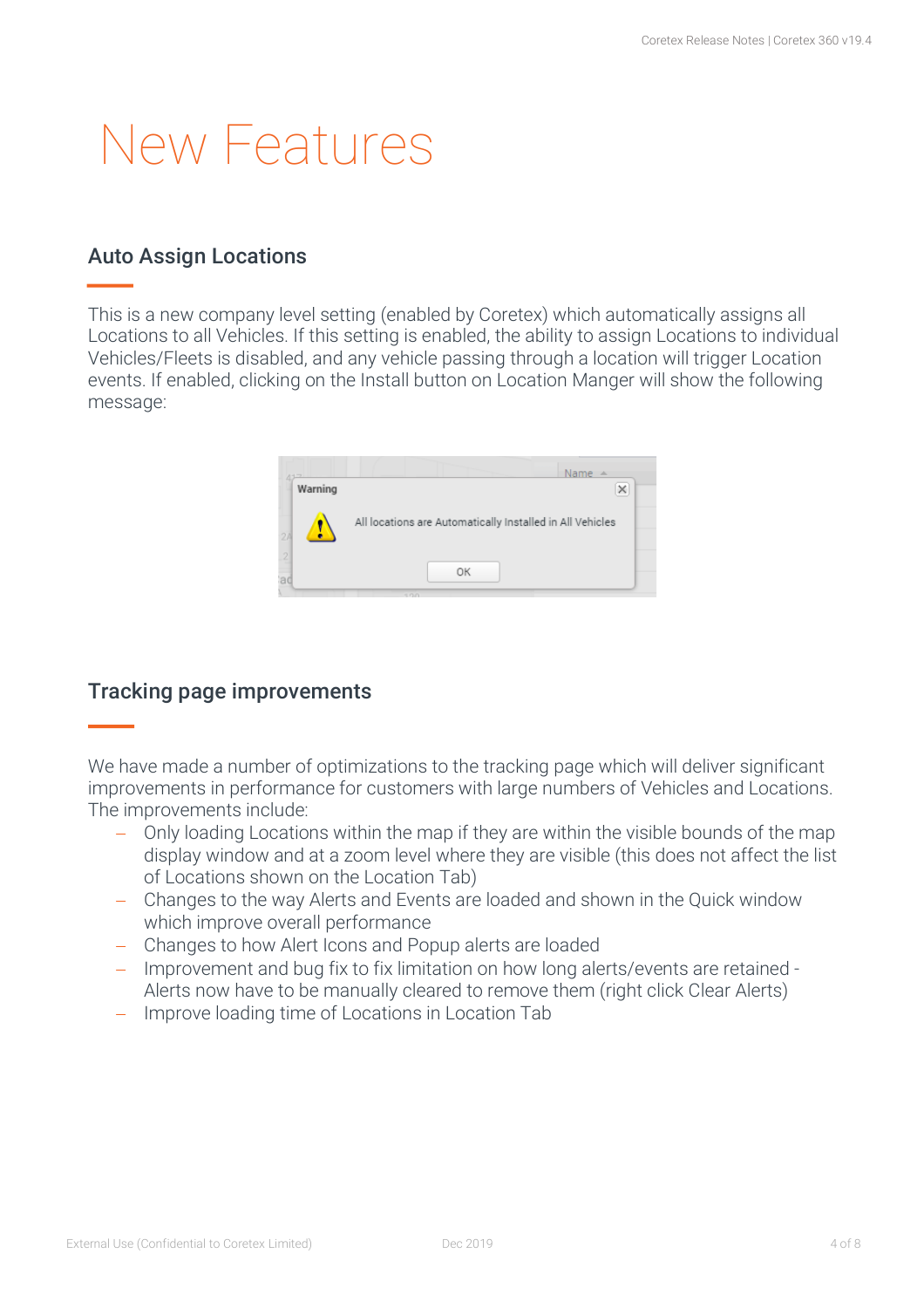## New Features

#### Auto Assign Locations

This is a new company level setting (enabled by Coretex) which automatically assigns all Locations to all Vehicles. If this setting is enabled, the ability to assign Locations to individual Vehicles/Fleets is disabled, and any vehicle passing through a location will trigger Location events. If enabled, clicking on the Install button on Location Manger will show the following message:



#### Tracking page improvements

We have made a number of optimizations to the tracking page which will deliver significant improvements in performance for customers with large numbers of Vehicles and Locations. The improvements include:

- Only loading Locations within the map if they are within the visible bounds of the map display window and at a zoom level where they are visible (this does not affect the list of Locations shown on the Location Tab)
- Changes to the way Alerts and Events are loaded and shown in the Quick window which improve overall performance
- Changes to how Alert Icons and Popup alerts are loaded
- Improvement and bug fix to fix limitation on how long alerts/events are retained Alerts now have to be manually cleared to remove them (right click Clear Alerts)
- Improve loading time of Locations in Location Tab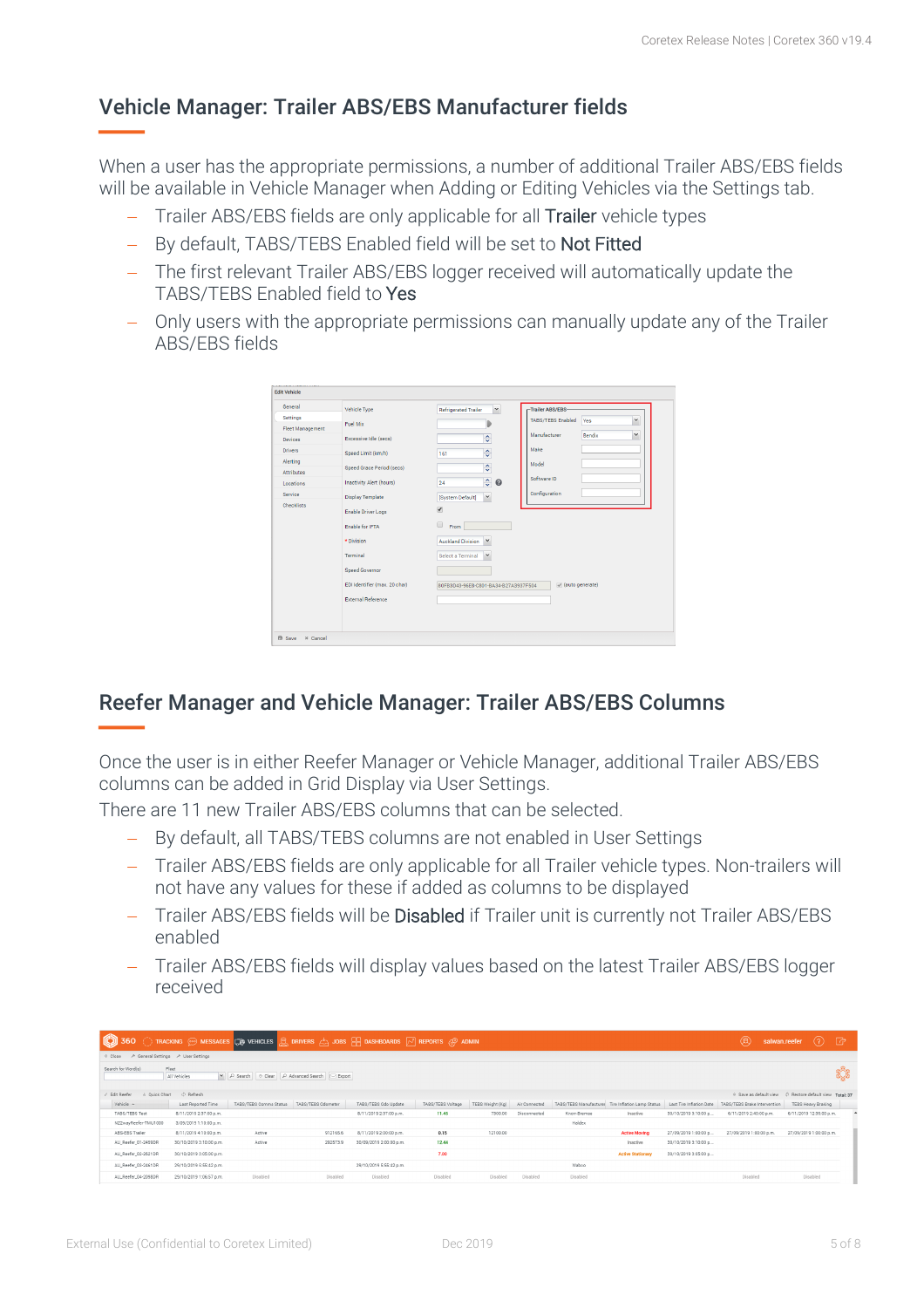### Vehicle Manager: Trailer ABS/EBS Manufacturer fields

When a user has the appropriate permissions, a number of additional Trailer ABS/EBS fields will be available in Vehicle Manager when Adding or Editing Vehicles via the Settings tab.

- Trailer ABS/EBS fields are only applicable for all Trailer vehicle types
- By default, TABS/TEBS Enabled field will be set to Not Fitted
- The first relevant Trailer ABS/EBS logger received will automatically update the TABS/TEBS Enabled field to Yes
- Only users with the appropriate permissions can manually update any of the Trailer ABS/EBS fields



### Reefer Manager and Vehicle Manager: Trailer ABS/EBS Columns

Once the user is in either Reefer Manager or Vehicle Manager, additional Trailer ABS/EBS columns can be added in Grid Display via User Settings.

There are 11 new Trailer ABS/EBS columns that can be selected.

- By default, all TABS/TEBS columns are not enabled in User Settings
- Trailer ABS/EBS fields are only applicable for all Trailer vehicle types. Non-trailers will not have any values for these if added as columns to be displayed
- Trailer ABS/EBS fields will be Disabled if Trailer unit is currently not Trailer ABS/EBS enabled
- Trailer ABS/EBS fields will display values based on the latest Trailer ABS/EBS logger received

| <b>100 360</b> TRACKING @ MESSAGES (B) VEHICLES <b>Q</b> DRIVERS A JOBS <b>H</b> DASHBOARDS <b>A</b> REPORTS @ ADMIN |                         |                                                 |                    |                         |                   |                  |               |                                                   |                          |                          | $\circledR$                                                           | salwan.reefer $(?) \quad$ $\rightarrow$ |  |
|----------------------------------------------------------------------------------------------------------------------|-------------------------|-------------------------------------------------|--------------------|-------------------------|-------------------|------------------|---------------|---------------------------------------------------|--------------------------|--------------------------|-----------------------------------------------------------------------|-----------------------------------------|--|
| ← General Settings → User Settings<br>⊙ Close                                                                        |                         |                                                 |                    |                         |                   |                  |               |                                                   |                          |                          |                                                                       |                                         |  |
| Search for Word(s)<br>Fleet                                                                                          | All Vehicles            | D Search   © Clear   D Advanced Search   Export |                    |                         |                   |                  |               |                                                   |                          |                          |                                                                       |                                         |  |
| 4. Quick Chart<br>Edit Reefer                                                                                        | C Refresh               |                                                 |                    |                         |                   |                  |               |                                                   |                          |                          | Save as default view <a> <a> C Restore default view Total: 37</a></a> |                                         |  |
| Vehicle A                                                                                                            | Last Reported Time      | TABS/TEBS Comms Status                          | TABS/TEBS Odometer | TABS/TEBS Odo Update    | TABS/TEBS Voltage | TEBS Weight (Kg) | Air Connected | TABS/TEBS Manufacturer Tire Inflation Lamp Status |                          | Last Tire Inflation Date | TABS/TEBS Brake Intervention                                          | <b>TEBS Heavy Braking</b>               |  |
| TABS/TEBS Test                                                                                                       | 8/11/2019 2:37:00 p.m.  |                                                 |                    | 8/11/2019 2:37:00 p.m.  | 11.45             | 7300.00          | Disconnected  | Knorr-Bremse                                      | Inactive                 | 30/10/2019 3:10:00 p     | 6/11/2019 2:40:00 p.m.                                                | 6/11/2019 12:35:00 p.m.                 |  |
| NZ2wayReefer-TMU1000                                                                                                 | 3/09/2019 1:10:00 p.m.  |                                                 |                    |                         |                   |                  |               | Haldex                                            |                          |                          |                                                                       |                                         |  |
| ABS-EBS Trailer                                                                                                      | 8/11/2019 4:10:00 p.m.  | Active                                          | 912165.6           | 8/11/2019 2:00:00 p.m.  | 0.15              | 12100.00         |               |                                                   | <b>Active Moving</b>     | 27/09/2019 1:00:00 p     | 27/09/2019 1:00:00 p.m.                                               | 27/09/2019 1:00:00 p.m.                 |  |
| AU_Reefer_01-2459DR                                                                                                  | 30/10/2019 3:10:00 p.m. | Active                                          | 292573.9           | 30/09/2019 2:00:00 p.m. | 12.44             |                  |               |                                                   | Inactive                 | 30/10/2019 3:10:00 p     |                                                                       |                                         |  |
| AU_Reefer_02-2621DR                                                                                                  | 30/10/2019 3:05:00 p.m. |                                                 |                    |                         | 7.00              |                  |               |                                                   | <b>Active Stationary</b> | 30/10/2019 3:05:00 p     |                                                                       |                                         |  |
| AU_Reefer_03-2461DR                                                                                                  | 29/10/2019 6:55:42 p.m. |                                                 |                    | 29/10/2019 6:55:42 p.m. |                   |                  |               | Wabco                                             |                          |                          |                                                                       |                                         |  |
| AU_Reefer_04-2098DR                                                                                                  | 29/10/2019 1:06:57 p.m. | Disabled                                        | Disabled           | Disabled                | Disabled          | Disabled         | Disabled      | Disabled                                          |                          |                          | Disabled                                                              | Disabled                                |  |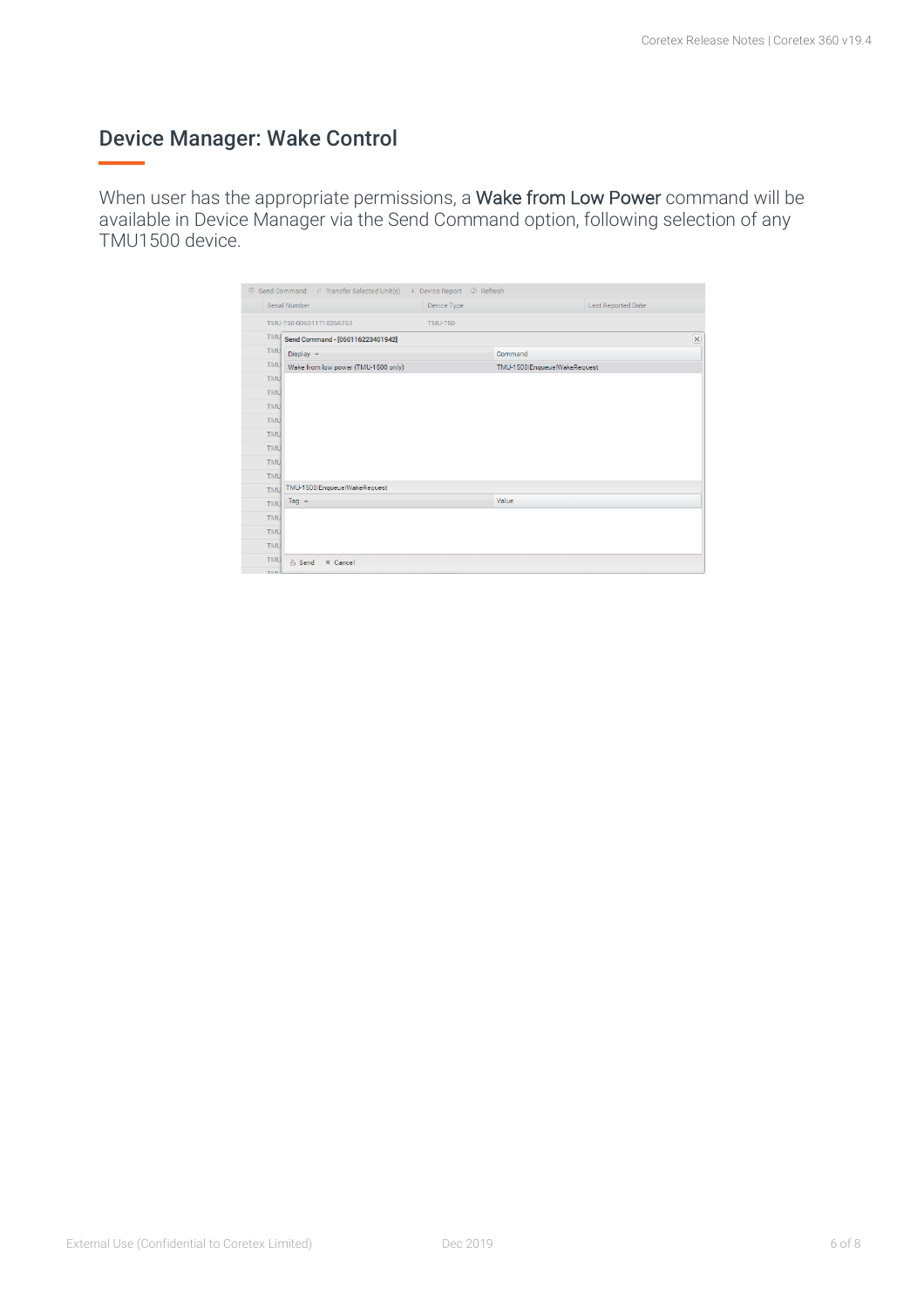### Device Manager: Wake Control

When user has the appropriate permissions, a Wake from Low Power command will be available in Device Manager via the Send Command option, following selection of any TMU1500 device.

| Serial Number                                     | Device Type    |                              | <b>Last Reported Date</b> |  |
|---------------------------------------------------|----------------|------------------------------|---------------------------|--|
| TMU-750-006011710266763                           | <b>TMU-750</b> |                              |                           |  |
| <b>TMU</b><br>Send Command - [060116223401942]    |                |                              |                           |  |
| <b>TMU</b><br>Display $\triangle$                 |                | Command                      |                           |  |
| <b>TMU</b><br>Wake from low power (TMU-1500 only) |                | TMU-1500 Enqueue WakeRequest |                           |  |
| <b>TMU</b>                                        |                |                              |                           |  |
| <b>TMU</b>                                        |                |                              |                           |  |
| <b>TMU</b>                                        |                |                              |                           |  |
| <b>TMU</b>                                        |                |                              |                           |  |
| <b>TMU</b>                                        |                |                              |                           |  |
| <b>TMU</b>                                        |                |                              |                           |  |
| <b>TMU</b>                                        |                |                              |                           |  |
| <b>TMU</b>                                        |                |                              |                           |  |
| TMU-1500 Enqueue WakeRequest<br>TMU               |                |                              |                           |  |
| Tag $\triangle$                                   |                | Value                        |                           |  |
|                                                   |                |                              |                           |  |
|                                                   |                |                              |                           |  |
| <b>TMU</b><br><b>TMU</b><br><b>TMU</b>            |                |                              |                           |  |
| <b>TMU</b>                                        |                |                              |                           |  |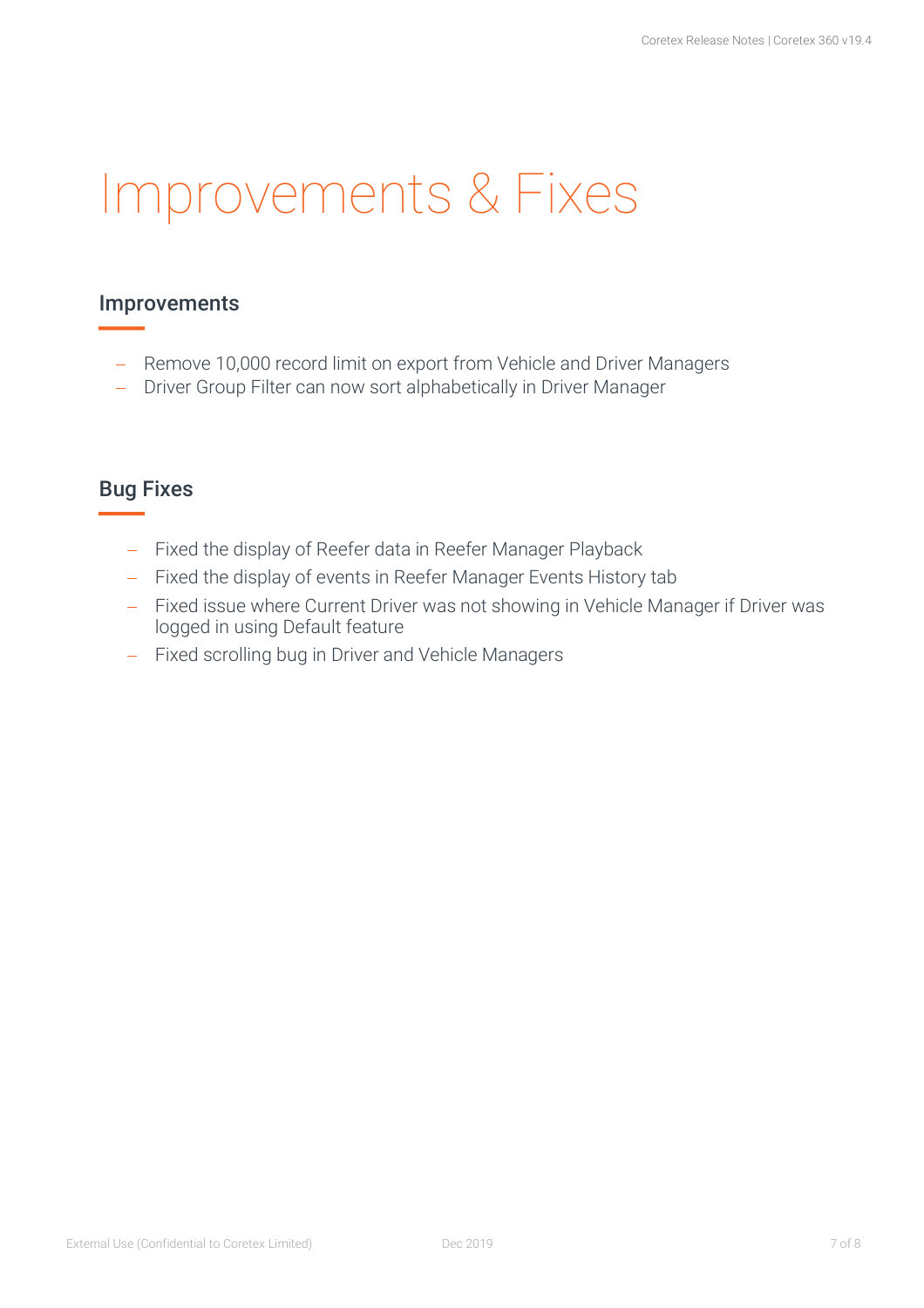## Improvements & Fixes

#### Improvements

- Remove 10,000 record limit on export from Vehicle and Driver Managers
- Driver Group Filter can now sort alphabetically in Driver Manager

#### Bug Fixes

- Fixed the display of Reefer data in Reefer Manager Playback
- Fixed the display of events in Reefer Manager Events History tab
- Fixed issue where Current Driver was not showing in Vehicle Manager if Driver was logged in using Default feature
- Fixed scrolling bug in Driver and Vehicle Managers